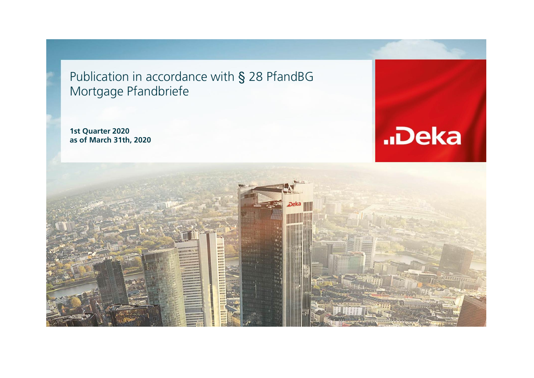Publication in accordance with § 28 PfandBG Mortgage Pfandbriefe

**1st Quarter 2020 as of March 31th, 2020**



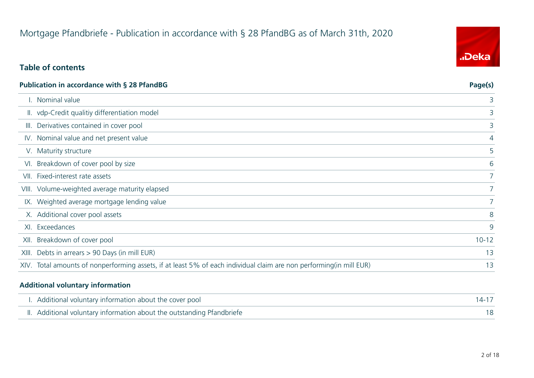# Mortgage Pfandbriefe - Publication in accordance with § 28 PfandBG as of March 31th, 2020

### **Table of contents**

| <b>Publication in accordance with § 28 PfandBG</b>                                                                  | Page(s)        |
|---------------------------------------------------------------------------------------------------------------------|----------------|
| I. Nominal value                                                                                                    | 3              |
| II. vdp-Credit qualitiy differentiation model                                                                       | 3              |
| III. Derivatives contained in cover pool                                                                            | 3              |
| IV. Nominal value and net present value                                                                             | 4              |
| V. Maturity structure                                                                                               | 5              |
| VI. Breakdown of cover pool by size                                                                                 | 6              |
| VII. Fixed-interest rate assets                                                                                     |                |
| VIII. Volume-weighted average maturity elapsed                                                                      | 7 <sup>1</sup> |
| IX. Weighted average mortgage lending value                                                                         | 7 <sup>1</sup> |
| X. Additional cover pool assets                                                                                     | 8              |
| XI. Exceedances                                                                                                     | 9              |
| XII. Breakdown of cover pool                                                                                        | $10 - 12$      |
| XIII. Debts in arrears > 90 Days (in mill EUR)                                                                      | 13             |
| XIV. Total amounts of nonperforming assets, if at least 5% of each individual claim are non performing(in mill EUR) | 13             |

#### **Additional voluntary information**

| I. Additional voluntary information about the cover pool               | 14-17 |
|------------------------------------------------------------------------|-------|
| II. Additional voluntary information about the outstanding Pfandbriefe |       |

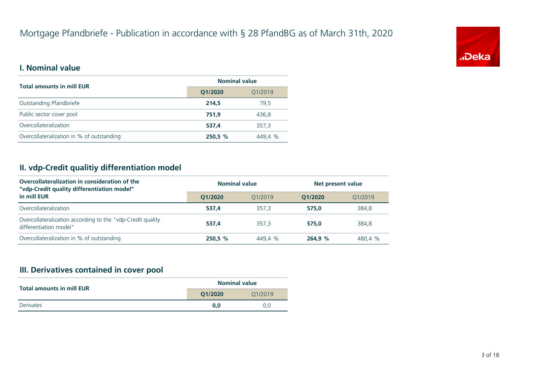

#### **I. Nominal value**

| <b>Total amounts in mill EUR</b>          | <b>Nominal value</b> |         |  |
|-------------------------------------------|----------------------|---------|--|
|                                           | Q1/2020<br>Q1/2019   |         |  |
| Outstanding Pfandbriefe                   | 214.5                | 79.5    |  |
| Public sector cover pool                  | 751.9                | 436.8   |  |
| Overcollateralization                     | 537.4                | 357.3   |  |
| Overcollateralization in % of outstanding | 250,5 %              | 449,4 % |  |

#### **II. vdp-Credit qualitiy differentiation model**

| Overcollateralization in consideration of the<br>"vdp-Credit quality differentiation model" | <b>Nominal value</b> |         |         | Net present value |  |
|---------------------------------------------------------------------------------------------|----------------------|---------|---------|-------------------|--|
| in mill EUR                                                                                 | O1/2020              | 01/2019 | O1/2020 | 01/2019           |  |
| Overcollateralization                                                                       | 537.4                | 357.3   | 575.0   | 384,8             |  |
| Overcollateralization according to the "vdp-Credit quality<br>differentiation model"        | 537.4                | 357.3   | 575.0   | 384,8             |  |
| Overcollateralization in % of outstanding                                                   | 250.5 %              | 449.4 % | 264.9 % | 480.4 %           |  |

#### **III. Derivatives contained in cover pool**

| <b>Total amounts in mill EUR</b> | <b>Nominal value</b> |         |  |
|----------------------------------|----------------------|---------|--|
|                                  | O1/2020              | 01/2019 |  |
| Derivates                        | 0.0                  | 0.0     |  |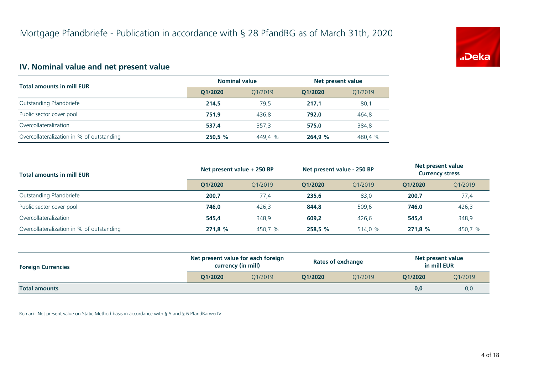

#### **IV. Nominal value and net present value**

| <b>Total amounts in mill EUR</b>          | <b>Nominal value</b> |         | Net present value |         |
|-------------------------------------------|----------------------|---------|-------------------|---------|
|                                           | Q1/2020              | 01/2019 | O1/2020           | Q1/2019 |
| Outstanding Pfandbriefe                   | 214.5                | 79.5    | 217.1             | 80,1    |
| Public sector cover pool                  | 751.9                | 436.8   | 792.0             | 464,8   |
| Overcollateralization                     | 537.4                | 357.3   | 575.0             | 384,8   |
| Overcollateralization in % of outstanding | 250,5 %              | 449,4 % | 264,9 %           | 480,4 % |

| <b>Total amounts in mill EUR</b>          | Net present value + 250 BP |         | Net present value - 250 BP |         | Net present value<br><b>Currency stress</b> |         |
|-------------------------------------------|----------------------------|---------|----------------------------|---------|---------------------------------------------|---------|
|                                           | O1/2020                    | 01/2019 | O1/2020                    | 01/2019 | O1/2020                                     | 01/2019 |
| Outstanding Pfandbriefe                   | 200,7                      | 77.4    | 235,6                      | 83,0    | 200,7                                       | 77,4    |
| Public sector cover pool                  | 746.0                      | 426,3   | 844,8                      | 509.6   | 746.0                                       | 426,3   |
| Overcollateralization                     | 545.4                      | 348,9   | 609,2                      | 426,6   | 545.4                                       | 348,9   |
| Overcollateralization in % of outstanding | 271,8 %                    | 450,7 % | 258,5%                     | 514,0 % | 271.8%                                      | 450,7 % |

| <b>Foreign Currencies</b> | Net present value for each foreign<br>currency (in mill) |         | <b>Rates of exchange</b> |         | Net present value<br>in mill EUR |         |
|---------------------------|----------------------------------------------------------|---------|--------------------------|---------|----------------------------------|---------|
|                           | O1/2020                                                  | O1/2019 | O1/2020                  | 01/2019 | O1/2020                          | Q1/2019 |
| <b>Total amounts</b>      |                                                          |         |                          |         | 0,0                              | 0,0     |

Remark: Net present value on Static Method basis in accordance with § 5 and § 6 PfandBarwertV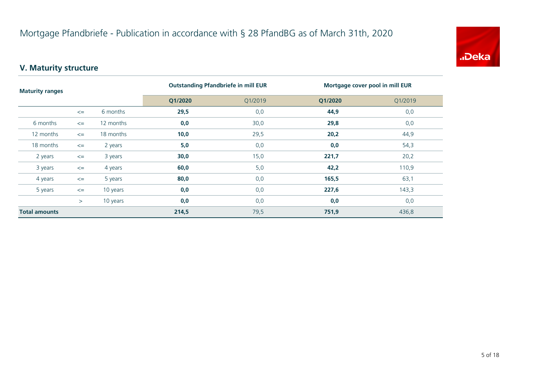

# **V. Maturity structure**

| <b>Maturity ranges</b> |        |           | <b>Outstanding Pfandbriefe in mill EUR</b> |         | Mortgage cover pool in mill EUR |         |  |
|------------------------|--------|-----------|--------------------------------------------|---------|---------------------------------|---------|--|
|                        |        |           | Q1/2020                                    | Q1/2019 | Q1/2020                         | Q1/2019 |  |
|                        | $\leq$ | 6 months  | 29,5                                       | 0,0     | 44,9                            | 0,0     |  |
| 6 months               | $\leq$ | 12 months | 0,0                                        | 30,0    | 29,8                            | 0,0     |  |
| 12 months              | $\leq$ | 18 months | 10,0                                       | 29,5    | 20,2                            | 44,9    |  |
| 18 months              | $\leq$ | 2 years   | 5,0                                        | 0,0     | 0,0                             | 54,3    |  |
| 2 years                | $\leq$ | 3 years   | 30,0                                       | 15,0    | 221,7                           | 20,2    |  |
| 3 years                | $\leq$ | 4 years   | 60,0                                       | 5,0     | 42,2                            | 110,9   |  |
| 4 years                | $\leq$ | 5 years   | 80,0                                       | 0,0     | 165,5                           | 63,1    |  |
| 5 years                | $\leq$ | 10 years  | 0,0                                        | 0,0     | 227,6                           | 143,3   |  |
|                        | $\geq$ | 10 years  | 0,0                                        | 0,0     | 0,0                             | 0,0     |  |
| <b>Total amounts</b>   |        | 214,5     | 79,5                                       | 751,9   | 436,8                           |         |  |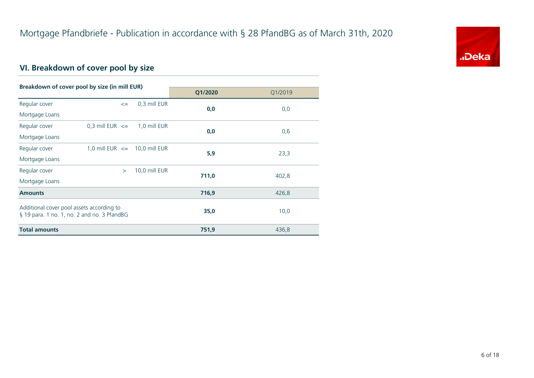

# **VI. Breakdown of cover pool by size**

| Breakdown of cover pool by size (in mill EUR) |                                   |               |         |         |  |
|-----------------------------------------------|-----------------------------------|---------------|---------|---------|--|
|                                               |                                   |               | Q1/2020 | Q1/2019 |  |
| Regular cover                                 | $\leq$                            | 0,3 mill EUR  | 0,0     | 0,0     |  |
| Mortgage Loans                                |                                   |               |         |         |  |
| Regular cover                                 | 0,3 mill EUR $\leq$               | 1,0 mill EUR  |         |         |  |
| Mortgage Loans                                |                                   |               | 0,0     | 0,6     |  |
| Regular cover                                 | 1,0 mill EUR $\leq$ 10,0 mill EUR |               | 5,9     |         |  |
| Mortgage Loans                                |                                   |               |         | 23,3    |  |
| Regular cover                                 | $\geq$                            | 10,0 mill EUR | 711,0   |         |  |
| Mortgage Loans                                |                                   |               |         | 402,8   |  |
| <b>Amounts</b>                                |                                   |               | 716,9   | 426,8   |  |
| Additional cover pool assets according to     |                                   |               |         |         |  |
| § 19 para. 1 no. 1, no. 2 and no. 3 PfandBG   |                                   |               | 35,0    | 10,0    |  |
| <b>Total amounts</b>                          |                                   |               | 751,9   | 436,8   |  |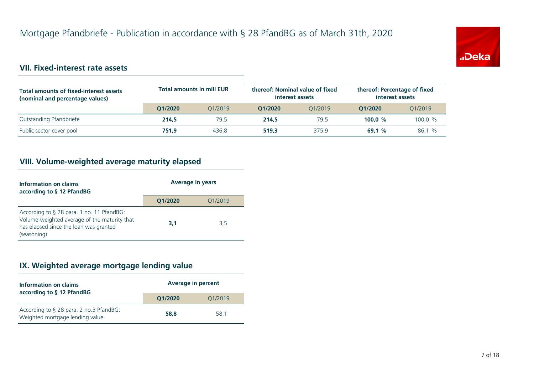

### **VII. Fixed-interest rate assets**

| <b>Total amounts of fixed-interest assets</b><br>(nominal and percentage values) | <b>Total amounts in mill EUR</b> |         | thereof: Nominal value of fixed<br>interest assets |         | thereof: Percentage of fixed<br>interest assets |         |
|----------------------------------------------------------------------------------|----------------------------------|---------|----------------------------------------------------|---------|-------------------------------------------------|---------|
|                                                                                  | 01/2020                          | 01/2019 | O1/2020                                            | 01/2019 | O1/2020                                         | 01/2019 |
| Outstanding Pfandbriefe                                                          | 214,5                            | 79.5    | 214.5                                              | 79.5    | 100.0 $%$                                       | 100,0 % |
| Public sector cover pool                                                         | 751.9                            | 436.8   | 519.3                                              | 375.9   | 69.1%                                           | 86,1 %  |

# **VIII. Volume-weighted average maturity elapsed**

| Information on claims<br>according to § 12 PfandBG                                                                                                 | <b>Average in years</b> |         |  |
|----------------------------------------------------------------------------------------------------------------------------------------------------|-------------------------|---------|--|
|                                                                                                                                                    | Q1/2020                 | Q1/2019 |  |
| According to § 28 para. 1 no. 11 PfandBG:<br>Volume-weighted average of the maturity that<br>has elapsed since the loan was granted<br>(seasoning) | 3,1                     | 3,5     |  |

#### **IX. Weighted average mortgage lending value**

| Information on claims<br>according to § 12 PfandBG                         | <b>Average in percent</b> |         |  |
|----------------------------------------------------------------------------|---------------------------|---------|--|
|                                                                            | O1/2020                   | Q1/2019 |  |
| According to § 28 para. 2 no.3 PfandBG:<br>Weighted mortgage lending value | 58.8                      | 58.1    |  |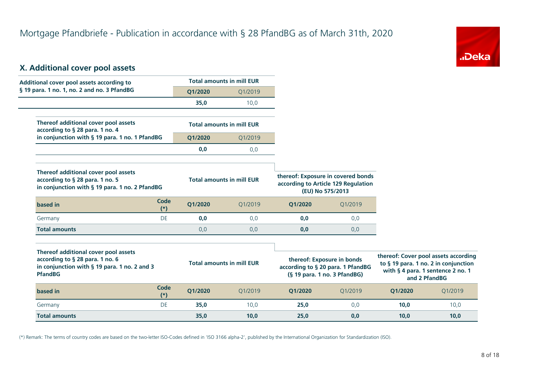

#### **X. Additional cover pool assets**

| Additional cover pool assets according to                                                                                                 |                      |         | <b>Total amounts in mill EUR</b> |                                                                                                 |         |         |                                                                                                                                    |
|-------------------------------------------------------------------------------------------------------------------------------------------|----------------------|---------|----------------------------------|-------------------------------------------------------------------------------------------------|---------|---------|------------------------------------------------------------------------------------------------------------------------------------|
| § 19 para. 1 no. 1, no. 2 and no. 3 PfandBG                                                                                               |                      | Q1/2020 | Q1/2019                          |                                                                                                 |         |         |                                                                                                                                    |
|                                                                                                                                           |                      | 35,0    | 10,0                             |                                                                                                 |         |         |                                                                                                                                    |
| Thereof additional cover pool assets<br>according to § 28 para. 1 no. 4                                                                   |                      |         | <b>Total amounts in mill EUR</b> |                                                                                                 |         |         |                                                                                                                                    |
| in conjunction with § 19 para. 1 no. 1 PfandBG                                                                                            |                      | Q1/2020 | Q1/2019                          |                                                                                                 |         |         |                                                                                                                                    |
|                                                                                                                                           |                      | 0,0     | 0,0                              |                                                                                                 |         |         |                                                                                                                                    |
| Thereof additional cover pool assets<br>according to § 28 para. 1 no. 5<br>in conjunction with § 19 para. 1 no. 2 PfandBG                 |                      |         | <b>Total amounts in mill EUR</b> | thereof: Exposure in covered bonds<br>according to Article 129 Regulation<br>(EU) No 575/2013   |         |         |                                                                                                                                    |
| based in                                                                                                                                  | <b>Code</b><br>$(*)$ | Q1/2020 | 01/2019                          | Q1/2020                                                                                         | Q1/2019 |         |                                                                                                                                    |
| Germany                                                                                                                                   | <b>DE</b>            | 0,0     | 0,0                              | 0,0                                                                                             | 0,0     |         |                                                                                                                                    |
| <b>Total amounts</b>                                                                                                                      |                      | 0,0     | 0,0                              | 0,0                                                                                             | 0,0     |         |                                                                                                                                    |
| Thereof additional cover pool assets<br>according to § 28 para. 1 no. 6<br>in conjunction with § 19 para. 1 no. 2 and 3<br><b>PfandBG</b> |                      |         | <b>Total amounts in mill EUR</b> | thereof: Exposure in bonds<br>according to § 20 para. 1 PfandBG<br>(§ 19 para. 1 no. 3 PfandBG) |         |         | thereof: Cover pool assets according<br>to § 19 para. 1 no. 2 in conjunction<br>with § 4 para. 1 sentence 2 no. 1<br>and 2 PfandBG |
| based in                                                                                                                                  | <b>Code</b><br>$(*)$ | Q1/2020 | Q1/2019                          | Q1/2020                                                                                         | Q1/2019 | Q1/2020 | Q1/2019                                                                                                                            |

(\*) Remark: The terms of country codes are based on the two-letter ISO-Codes defined in 'ISO 3166 alpha-2', published by the International Organization for Standardization (ISO).

Germany DE **35,0** 10,0 **25,0** 0,0 **10,0** 10,0 **Total amounts 35,0 10,0 25,0 0,0 10,0 10,0**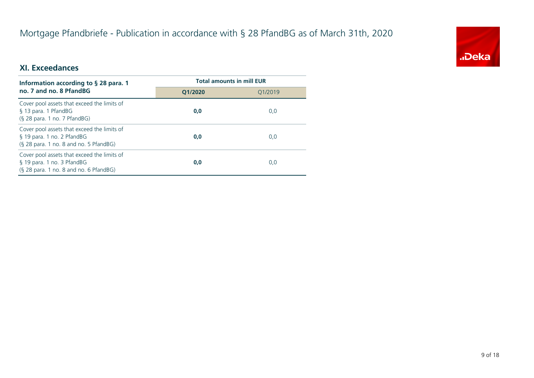# Mortgage Pfandbriefe - Publication in accordance with § 28 PfandBG as of March 31th, 2020



#### **XI. Exceedances**

| Information according to $\S$ 28 para. 1                                                                              | <b>Total amounts in mill EUR</b> |         |  |
|-----------------------------------------------------------------------------------------------------------------------|----------------------------------|---------|--|
| no. 7 and no. 8 PfandBG                                                                                               | O1/2020                          | 01/2019 |  |
| Cover pool assets that exceed the limits of<br>§ 13 para. 1 PfandBG<br>$(S$ 28 para. 1 no. 7 PfandBG)                 | 0,0                              | 0,0     |  |
| Cover pool assets that exceed the limits of<br>§ 19 para. 1 no. 2 PfandBG<br>$(S$ 28 para. 1 no. 8 and no. 5 PfandBG) | 0,0                              | 0,0     |  |
| Cover pool assets that exceed the limits of<br>§ 19 para. 1 no. 3 PfandBG<br>(§ 28 para. 1 no. 8 and no. 6 PfandBG)   | 0,0                              | 0,0     |  |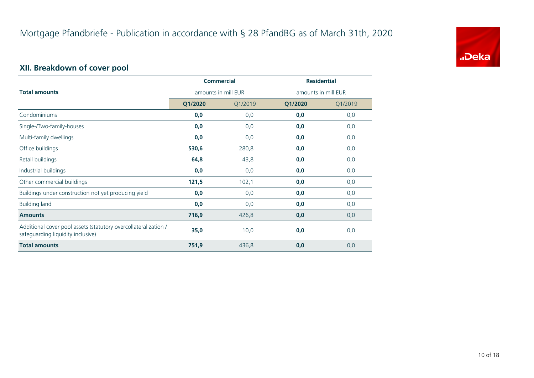

# **XII. Breakdown of cover pool**

|                                                                                                      |                     | <b>Commercial</b> | <b>Residential</b>  |         |
|------------------------------------------------------------------------------------------------------|---------------------|-------------------|---------------------|---------|
| <b>Total amounts</b>                                                                                 | amounts in mill EUR |                   | amounts in mill EUR |         |
|                                                                                                      | Q1/2020             | Q1/2019           | Q1/2020             | Q1/2019 |
| Condominiums                                                                                         | 0,0                 | 0,0               | 0,0                 | 0,0     |
| Single-/Two-family-houses                                                                            | 0,0                 | 0,0               | 0,0                 | 0,0     |
| Multi-family dwellings                                                                               | 0,0                 | 0,0               | 0,0                 | 0,0     |
| Office buildings                                                                                     | 530,6               | 280,8             | 0,0                 | 0,0     |
| Retail buildings                                                                                     | 64,8                | 43,8              | 0,0                 | 0,0     |
| Industrial buildings                                                                                 | 0,0                 | 0,0               | 0,0                 | 0,0     |
| Other commercial buildings                                                                           | 121,5               | 102,1             | 0,0                 | 0,0     |
| Buildings under construction not yet producing yield                                                 | 0,0                 | 0,0               | 0,0                 | 0,0     |
| <b>Building land</b>                                                                                 | 0,0                 | 0,0               | 0,0                 | 0,0     |
| <b>Amounts</b>                                                                                       | 716,9               | 426,8             | 0,0                 | 0,0     |
| Additional cover pool assets (statutory overcollateralization /<br>safeguarding liquidity inclusive) | 35,0                | 10,0              | 0,0                 | 0,0     |
| <b>Total amounts</b>                                                                                 | 751,9               | 436,8             | 0,0                 | 0,0     |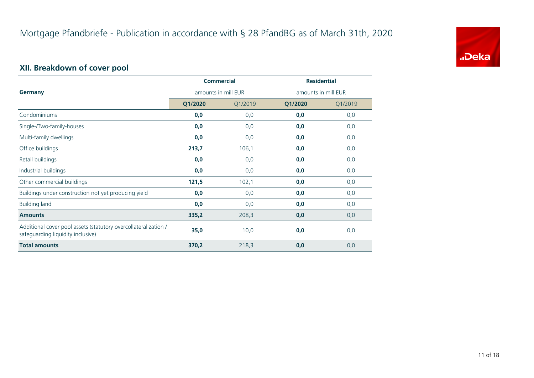

# **XII. Breakdown of cover pool**

|                                                                                                      | <b>Commercial</b>   |         | <b>Residential</b>  |         |
|------------------------------------------------------------------------------------------------------|---------------------|---------|---------------------|---------|
| <b>Germany</b>                                                                                       | amounts in mill EUR |         | amounts in mill EUR |         |
|                                                                                                      | Q1/2020             | Q1/2019 | Q1/2020             | Q1/2019 |
| Condominiums                                                                                         | 0,0                 | 0,0     | 0,0                 | 0,0     |
| Single-/Two-family-houses                                                                            | 0,0                 | 0,0     | 0,0                 | 0,0     |
| Multi-family dwellings                                                                               | 0,0                 | 0,0     | 0,0                 | 0,0     |
| Office buildings                                                                                     | 213,7               | 106,1   | 0,0                 | 0,0     |
| Retail buildings                                                                                     | 0,0                 | 0,0     | 0,0                 | 0,0     |
| Industrial buildings                                                                                 | 0,0                 | 0,0     | 0,0                 | 0,0     |
| Other commercial buildings                                                                           | 121,5               | 102,1   | 0,0                 | 0,0     |
| Buildings under construction not yet producing yield                                                 | 0,0                 | 0,0     | 0,0                 | 0,0     |
| <b>Building land</b>                                                                                 | 0,0                 | 0,0     | 0,0                 | 0,0     |
| <b>Amounts</b>                                                                                       | 335,2               | 208,3   | 0,0                 | 0,0     |
| Additional cover pool assets (statutory overcollateralization /<br>safeguarding liquidity inclusive) | 35,0                | 10,0    | 0,0                 | 0,0     |
| <b>Total amounts</b>                                                                                 | 370,2               | 218,3   | 0,0                 | 0,0     |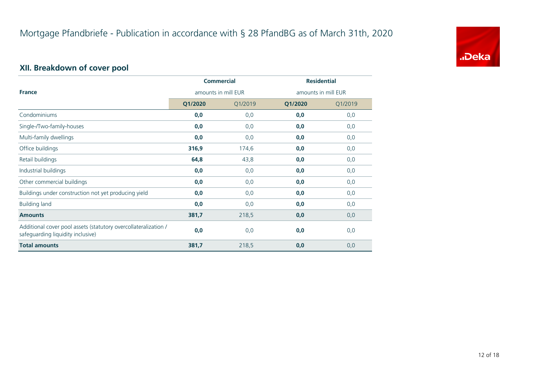

# **XII. Breakdown of cover pool**

|                                                                                                      |                     | <b>Commercial</b> | <b>Residential</b>  |         |  |
|------------------------------------------------------------------------------------------------------|---------------------|-------------------|---------------------|---------|--|
| <b>France</b>                                                                                        | amounts in mill EUR |                   | amounts in mill EUR |         |  |
|                                                                                                      | Q1/2020             | Q1/2019           | Q1/2020             | Q1/2019 |  |
| Condominiums                                                                                         | 0,0                 | 0,0               | 0,0                 | 0,0     |  |
| Single-/Two-family-houses                                                                            | 0,0                 | 0,0               | 0,0                 | 0,0     |  |
| Multi-family dwellings                                                                               | 0,0                 | 0,0               | 0,0                 | 0,0     |  |
| Office buildings                                                                                     | 316,9               | 174,6             | 0,0                 | 0,0     |  |
| Retail buildings                                                                                     | 64,8                | 43,8              | 0,0                 | 0,0     |  |
| Industrial buildings                                                                                 | 0,0                 | 0,0               | 0,0                 | 0,0     |  |
| Other commercial buildings                                                                           | 0,0                 | 0,0               | 0,0                 | 0,0     |  |
| Buildings under construction not yet producing yield                                                 | 0,0                 | 0,0               | 0,0                 | 0,0     |  |
| <b>Building land</b>                                                                                 | 0,0                 | 0,0               | 0,0                 | 0,0     |  |
| <b>Amounts</b>                                                                                       | 381,7               | 218,5             | 0,0                 | 0,0     |  |
| Additional cover pool assets (statutory overcollateralization /<br>safeguarding liquidity inclusive) | 0,0                 | 0,0               | 0,0                 | 0,0     |  |
| <b>Total amounts</b>                                                                                 | 381,7               | 218,5             | 0,0                 | 0,0     |  |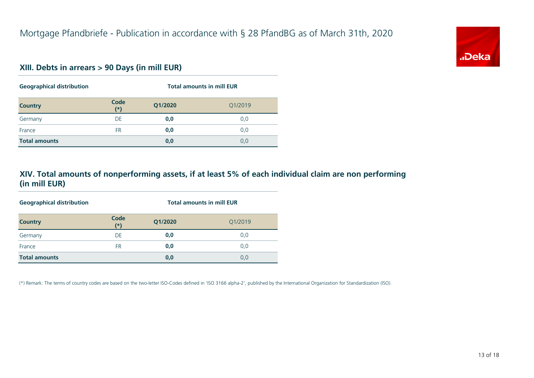# "Deka

#### **XIII. Debts in arrears > 90 Days (in mill EUR)**

| <b>Geographical distribution</b> |               | <b>Total amounts in mill EUR</b> |         |  |
|----------------------------------|---------------|----------------------------------|---------|--|
| <b>Country</b>                   | Code<br>$(*)$ | Q1/2020                          | Q1/2019 |  |
| Germany                          | DE            | 0,0                              | 0,0     |  |
| France                           | <b>FR</b>     | 0,0                              | 0,0     |  |
| <b>Total amounts</b>             |               | 0,0                              | 0,0     |  |

#### **XIV. Total amounts of nonperforming assets, if at least 5% of each individual claim are non performing (in mill EUR)**

| <b>Geographical distribution</b> |               | <b>Total amounts in mill EUR</b> |         |  |  |
|----------------------------------|---------------|----------------------------------|---------|--|--|
| <b>Country</b>                   | Code<br>$(*)$ | Q1/2020                          | Q1/2019 |  |  |
| Germany                          | DE            | 0,0                              | 0,0     |  |  |
| France                           | <b>FR</b>     | 0,0                              | 0,0     |  |  |
| <b>Total amounts</b>             |               | 0,0                              | 0,0     |  |  |

(\*) Remark: The terms of country codes are based on the two-letter ISO-Codes defined in 'ISO 3166 alpha-2', published by the International Organization for Standardization (ISO).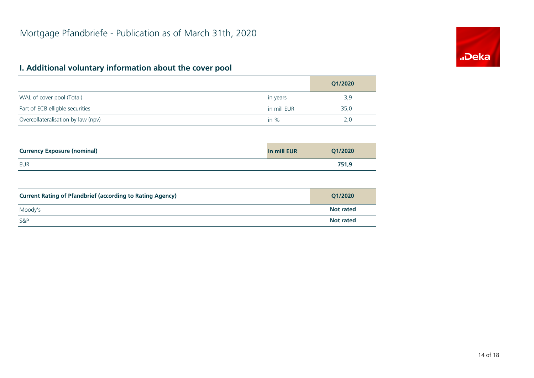# "Deka

#### **I. Additional voluntary information about the cover pool**

S&P

|                                                                  |             | Q1/2020          |
|------------------------------------------------------------------|-------------|------------------|
| WAL of cover pool (Total)                                        | in years    | 3,9              |
| Part of ECB elligble securities                                  | in mill EUR | 35,0             |
| Overcollateralisation by law (npv)                               | in $%$      | 2,0              |
|                                                                  |             |                  |
| <b>Currency Exposure (nominal)</b>                               | in mill EUR | Q1/2020          |
| <b>EUR</b>                                                       |             | 751,9            |
|                                                                  |             |                  |
| <b>Current Rating of Pfandbrief (according to Rating Agency)</b> |             | Q1/2020          |
| Moody's                                                          |             | <b>Not rated</b> |

**Not rated**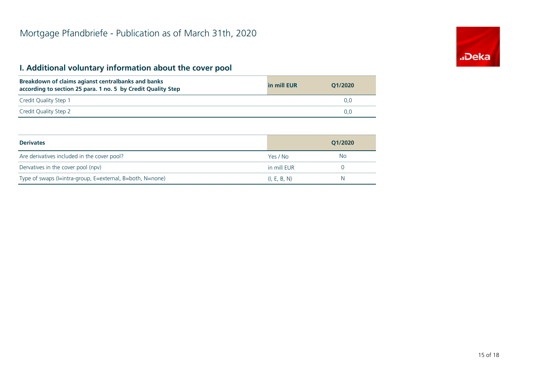# **I. Additional voluntary information about the cover pool**

| Breakdown of claims agianst centralbanks and banks<br>according to section 25 para. 1 no. 5 by Credit Quality Step | in mill EUR | O1/2020 |
|--------------------------------------------------------------------------------------------------------------------|-------------|---------|
| Credit Quality Step 1                                                                                              |             | 0.0     |
| Credit Quality Step 2                                                                                              |             | 0.0     |

| <b>Derivates</b>                                          |              | O1/2020 |
|-----------------------------------------------------------|--------------|---------|
| Are derivatives included in the cover pool?               | Yes / No     | No      |
| Dervatives in the cover pool (npv)                        | in mill EUR  |         |
| Type of swaps (I=intra-group, E=external, B=both, N=none) | (I, E, B, N) | N       |

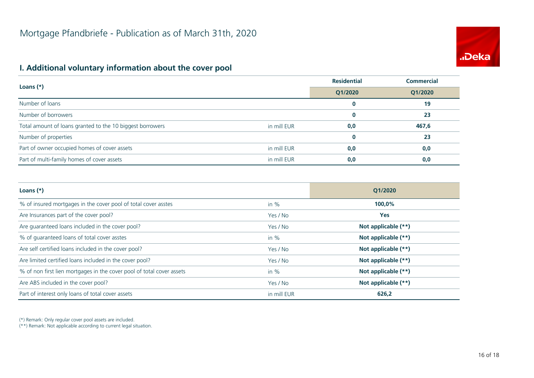

#### **I. Additional voluntary information about the cover pool**

| Loans $(*)$                                               |             | <b>Residential</b> | <b>Commercial</b> |
|-----------------------------------------------------------|-------------|--------------------|-------------------|
|                                                           |             | Q1/2020            | Q1/2020           |
| Number of loans                                           |             | $\bf{0}$           | 19                |
| Number of borrowers                                       |             | $\bf{0}$           | 23                |
| Total amount of loans granted to the 10 biggest borrowers | in mill EUR | 0,0                | 467,6             |
| Number of properties                                      |             | $\bf{0}$           | 23                |
| Part of owner occupied homes of cover assets              | in mill EUR | 0,0                | 0,0               |
| Part of multi-family homes of cover assets                | in mill EUR | 0,0                | 0,0               |

| Loans $(*)$                                                           |             | O1/2020             |
|-----------------------------------------------------------------------|-------------|---------------------|
| % of insured mortgages in the cover pool of total cover asstes        | in $%$      | 100,0%              |
| Are Insurances part of the cover pool?                                | Yes / No    | <b>Yes</b>          |
| Are guaranteed loans included in the cover pool?                      | Yes / No    | Not applicable (**) |
| % of quaranteed loans of total cover asstes                           | in $%$      | Not applicable (**) |
| Are self certified loans included in the cover pool?                  | Yes / No    | Not applicable (**) |
| Are limited certified loans included in the cover pool?               | Yes / No    | Not applicable (**) |
| % of non first lien mortgages in the cover pool of total cover assets | in $%$      | Not applicable (**) |
| Are ABS included in the cover pool?                                   | Yes / No    | Not applicable (**) |
| Part of interest only loans of total cover assets                     | in mill EUR | 626,2               |

(\*) Remark: Only regular cover pool assets are included.

(\*\*) Remark: Not applicable according to current legal situation.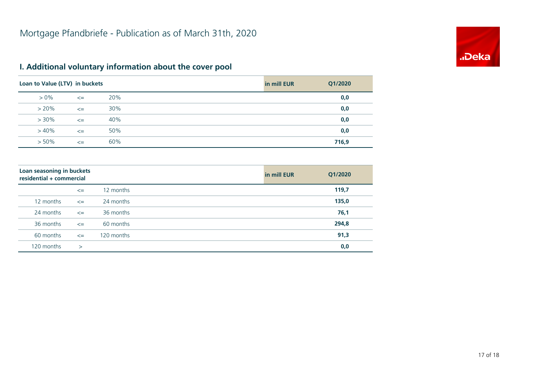

# **I. Additional voluntary information about the cover pool**

| Loan to Value (LTV) in buckets |        |     | in mill EUR | Q1/2020 |
|--------------------------------|--------|-----|-------------|---------|
| $> 0\%$                        | $\leq$ | 20% |             | 0,0     |
| $> 20\%$                       | $\leq$ | 30% |             | 0,0     |
| $> 30\%$                       | $\leq$ | 40% |             | 0,0     |
| $>40\%$                        | $\leq$ | 50% |             | 0,0     |
| $> 50\%$                       | $\leq$ | 60% |             | 716,9   |

| Loan seasoning in buckets<br>residential + commercial |        |            | in mill EUR | Q1/2020 |
|-------------------------------------------------------|--------|------------|-------------|---------|
|                                                       | $\leq$ | 12 months  |             | 119,7   |
| 12 months                                             | $\leq$ | 24 months  |             | 135,0   |
| 24 months                                             | $\leq$ | 36 months  |             | 76,1    |
| 36 months                                             | $\leq$ | 60 months  |             | 294,8   |
| 60 months                                             | $\leq$ | 120 months |             | 91,3    |
| 120 months                                            | $\geq$ |            |             | 0,0     |